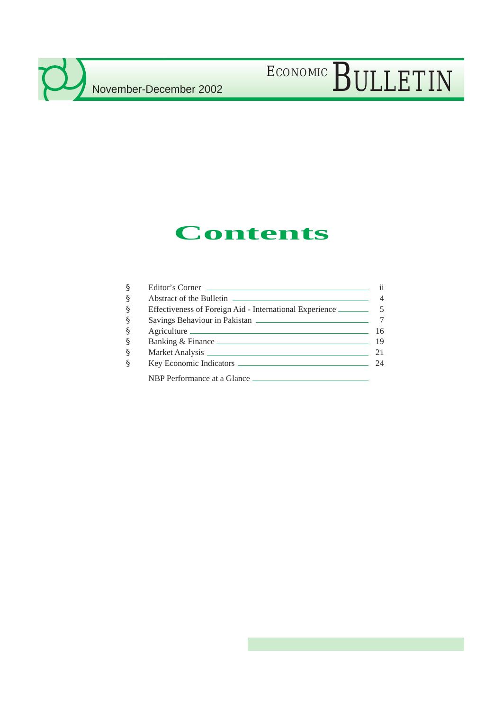$\mathcal{L}$ 

# ECONOMIC BULLETIN

# **Contents**

| § | Editor's Corner             |
|---|-----------------------------|
| § |                             |
| § |                             |
| § |                             |
| § | Agriculture                 |
| § | Banking & Finance 19        |
| § |                             |
| § |                             |
|   | NBP Performance at a Glance |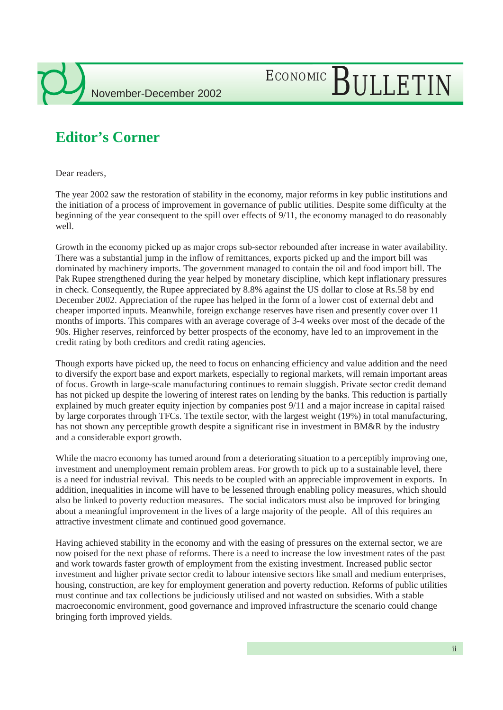

# ECONOMIC BULLETIN

## **Editor's Corner**

Dear readers,

The year 2002 saw the restoration of stability in the economy, major reforms in key public institutions and the initiation of a process of improvement in governance of public utilities. Despite some difficulty at the beginning of the year consequent to the spill over effects of 9/11, the economy managed to do reasonably well.

Growth in the economy picked up as major crops sub-sector rebounded after increase in water availability. There was a substantial jump in the inflow of remittances, exports picked up and the import bill was dominated by machinery imports. The government managed to contain the oil and food import bill. The Pak Rupee strengthened during the year helped by monetary discipline, which kept inflationary pressures in check. Consequently, the Rupee appreciated by 8.8% against the US dollar to close at Rs.58 by end December 2002. Appreciation of the rupee has helped in the form of a lower cost of external debt and cheaper imported inputs. Meanwhile, foreign exchange reserves have risen and presently cover over 11 months of imports. This compares with an average coverage of 3-4 weeks over most of the decade of the 90s. Higher reserves, reinforced by better prospects of the economy, have led to an improvement in the credit rating by both creditors and credit rating agencies.

Though exports have picked up, the need to focus on enhancing efficiency and value addition and the need to diversify the export base and export markets, especially to regional markets, will remain important areas of focus. Growth in large-scale manufacturing continues to remain sluggish. Private sector credit demand has not picked up despite the lowering of interest rates on lending by the banks. This reduction is partially explained by much greater equity injection by companies post 9/11 and a major increase in capital raised by large corporates through TFCs. The textile sector, with the largest weight (19%) in total manufacturing, has not shown any perceptible growth despite a significant rise in investment in BM&R by the industry and a considerable export growth.

While the macro economy has turned around from a deteriorating situation to a perceptibly improving one, investment and unemployment remain problem areas. For growth to pick up to a sustainable level, there is a need for industrial revival. This needs to be coupled with an appreciable improvement in exports. In addition, inequalities in income will have to be lessened through enabling policy measures, which should also be linked to poverty reduction measures. The social indicators must also be improved for bringing about a meaningful improvement in the lives of a large majority of the people. All of this requires an attractive investment climate and continued good governance.

Having achieved stability in the economy and with the easing of pressures on the external sector, we are now poised for the next phase of reforms. There is a need to increase the low investment rates of the past and work towards faster growth of employment from the existing investment. Increased public sector investment and higher private sector credit to labour intensive sectors like small and medium enterprises, housing, construction, are key for employment generation and poverty reduction. Reforms of public utilities must continue and tax collections be judiciously utilised and not wasted on subsidies. With a stable macroeconomic environment, good governance and improved infrastructure the scenario could change bringing forth improved yields.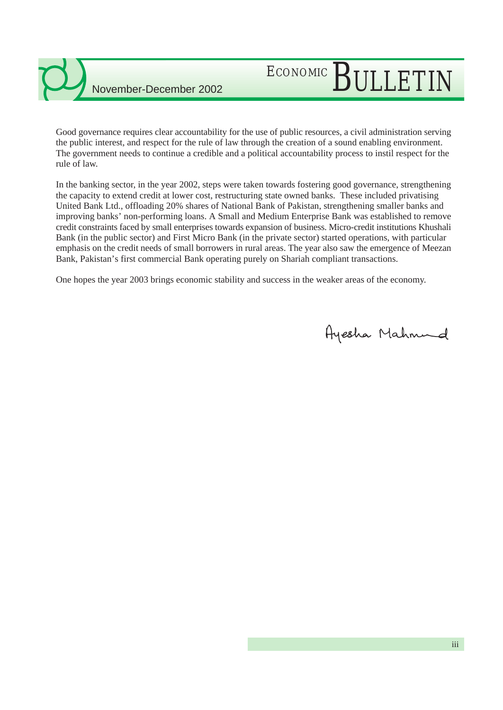

# ECONOMIC BULLETIN

Good governance requires clear accountability for the use of public resources, a civil administration serving the public interest, and respect for the rule of law through the creation of a sound enabling environment. The government needs to continue a credible and a political accountability process to instil respect for the rule of law.

In the banking sector, in the year 2002, steps were taken towards fostering good governance, strengthening the capacity to extend credit at lower cost, restructuring state owned banks. These included privatising United Bank Ltd., offloading 20% shares of National Bank of Pakistan, strengthening smaller banks and improving banks' non-performing loans. A Small and Medium Enterprise Bank was established to remove credit constraints faced by small enterprises towards expansion of business. Micro-credit institutions Khushali Bank (in the public sector) and First Micro Bank (in the private sector) started operations, with particular emphasis on the credit needs of small borrowers in rural areas. The year also saw the emergence of Meezan Bank, Pakistan's first commercial Bank operating purely on Shariah compliant transactions.

One hopes the year 2003 brings economic stability and success in the weaker areas of the economy.

Ayesha Mahnund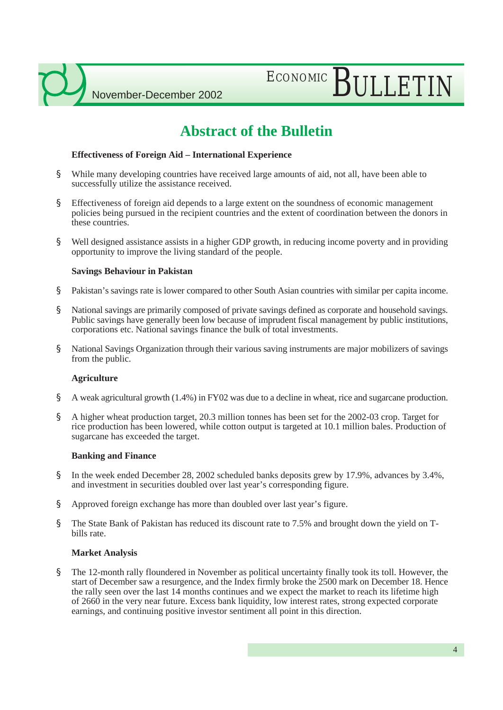# ECONOMIC BULLETIN

## **Abstract of the Bulletin**

### **Effectiveness of Foreign Aid – International Experience**

- § While many developing countries have received large amounts of aid, not all, have been able to successfully utilize the assistance received.
- § Effectiveness of foreign aid depends to a large extent on the soundness of economic management policies being pursued in the recipient countries and the extent of coordination between the donors in these countries.
- § Well designed assistance assists in a higher GDP growth, in reducing income poverty and in providing opportunity to improve the living standard of the people.

### **Savings Behaviour in Pakistan**

- § Pakistan's savings rate is lower compared to other South Asian countries with similar per capita income.
- § National savings are primarily composed of private savings defined as corporate and household savings. Public savings have generally been low because of imprudent fiscal management by public institutions, corporations etc. National savings finance the bulk of total investments.
- § National Savings Organization through their various saving instruments are major mobilizers of savings from the public.

### **Agriculture**

- § A weak agricultural growth (1.4%) in FY02 was due to a decline in wheat, rice and sugarcane production.
- § A higher wheat production target, 20.3 million tonnes has been set for the 2002-03 crop. Target for rice production has been lowered, while cotton output is targeted at 10.1 million bales. Production of sugarcane has exceeded the target.

### **Banking and Finance**

- § In the week ended December 28, 2002 scheduled banks deposits grew by 17.9%, advances by 3.4%, and investment in securities doubled over last year's corresponding figure.
- § Approved foreign exchange has more than doubled over last year's figure.
- § The State Bank of Pakistan has reduced its discount rate to 7.5% and brought down the yield on Tbills rate.

### **Market Analysis**

§ The 12-month rally floundered in November as political uncertainty finally took its toll. However, the start of December saw a resurgence, and the Index firmly broke the 2500 mark on December 18. Hence the rally seen over the last 14 months continues and we expect the market to reach its lifetime high of 2660 in the very near future. Excess bank liquidity, low interest rates, strong expected corporate earnings, and continuing positive investor sentiment all point in this direction.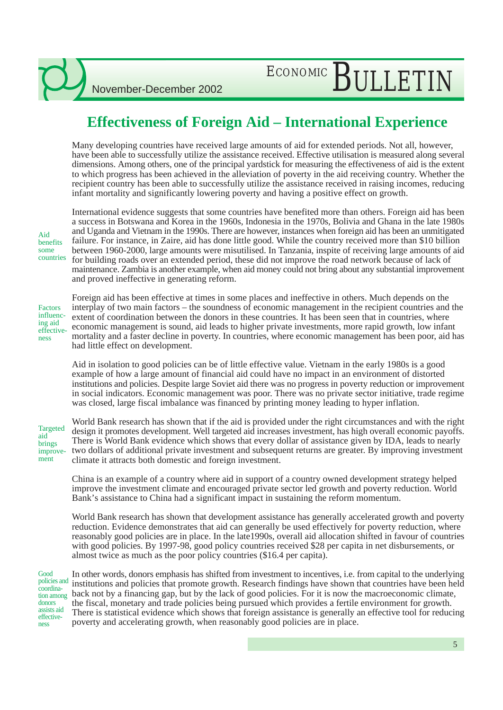## **Effectiveness of Foreign Aid – International Experience**

Many developing countries have received large amounts of aid for extended periods. Not all, however, have been able to successfully utilize the assistance received. Effective utilisation is measured along several dimensions. Among others, one of the principal yardstick for measuring the effectiveness of aid is the extent to which progress has been achieved in the alleviation of poverty in the aid receiving country. Whether the recipient country has been able to successfully utilize the assistance received in raising incomes, reducing infant mortality and significantly lowering poverty and having a positive effect on growth.

Aid benefits some countries

International evidence suggests that some countries have benefited more than others. Foreign aid has been a success in Botswana and Korea in the 1960s, Indonesia in the 1970s, Bolivia and Ghana in the late 1980s and Uganda and Vietnam in the 1990s. There are however, instances when foreign aid has been an unmitigated failure. For instance, in Zaire, aid has done little good. While the country received more than \$10 billion between 1960-2000, large amounts were misutilised. In Tanzania, inspite of receiving large amounts of aid for building roads over an extended period, these did not improve the road network because of lack of maintenance. Zambia is another example, when aid money could not bring about any substantial improvement and proved ineffective in generating reform.

Factors influencing aid effectiveness

Foreign aid has been effective at times in some places and ineffective in others. Much depends on the interplay of two main factors – the soundness of economic management in the recipient countries and the extent of coordination between the donors in these countries. It has been seen that in countries, where economic management is sound, aid leads to higher private investments, more rapid growth, low infant mortality and a faster decline in poverty. In countries, where economic management has been poor, aid has had little effect on development.

Aid in isolation to good policies can be of little effective value. Vietnam in the early 1980s is a good example of how a large amount of financial aid could have no impact in an environment of distorted institutions and policies. Despite large Soviet aid there was no progress in poverty reduction or improvement in social indicators. Economic management was poor. There was no private sector initiative, trade regime was closed, large fiscal imbalance was financed by printing money leading to hyper inflation.

Targeted aid brings improvement

World Bank research has shown that if the aid is provided under the right circumstances and with the right design it promotes development. Well targeted aid increases investment, has high overall economic payoffs. There is World Bank evidence which shows that every dollar of assistance given by IDA, leads to nearly two dollars of additional private investment and subsequent returns are greater. By improving investment climate it attracts both domestic and foreign investment.

China is an example of a country where aid in support of a country owned development strategy helped improve the investment climate and encouraged private sector led growth and poverty reduction. World Bank's assistance to China had a significant impact in sustaining the reform momentum.

World Bank research has shown that development assistance has generally accelerated growth and poverty reduction. Evidence demonstrates that aid can generally be used effectively for poverty reduction, where reasonably good policies are in place. In the late1990s, overall aid allocation shifted in favour of countries with good policies. By 1997-98, good policy countries received \$28 per capita in net disbursements, or almost twice as much as the poor policy countries (\$16.4 per capita).

Good policies and coordination among donors assists aid effectiveness

In other words, donors emphasis has shifted from investment to incentives, i.e. from capital to the underlying institutions and policies that promote growth. Research findings have shown that countries have been held back not by a financing gap, but by the lack of good policies. For it is now the macroeconomic climate, the fiscal, monetary and trade policies being pursued which provides a fertile environment for growth. There is statistical evidence which shows that foreign assistance is generally an effective tool for reducing poverty and accelerating growth, when reasonably good policies are in place.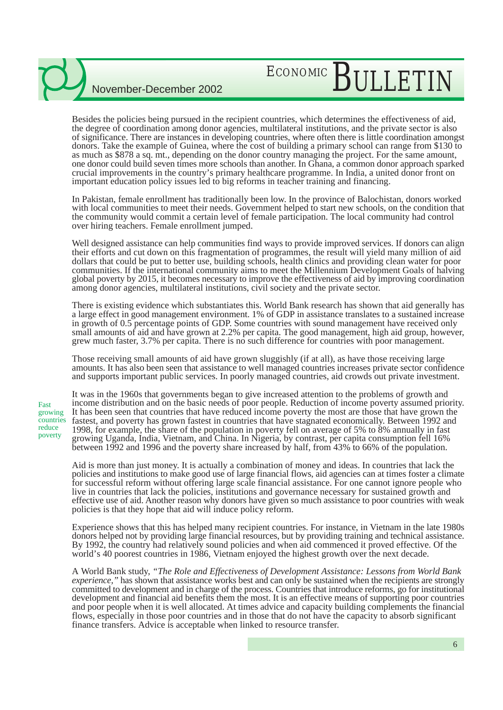# ECONOMIC BULLETIN

Besides the policies being pursued in the recipient countries, which determines the effectiveness of aid, the degree of coordination among donor agencies, multilateral institutions, and the private sector is also of significance. There are instances in developing countries, where often there is little coordination amongst donors. Take the example of Guinea, where the cost of building a primary school can range from \$130 to as much as \$878 a sq. mt., depending on the donor country managing the project. For the same amount, one donor could build seven times more schools than another. In Ghana, a common donor approach sparked crucial improvements in the country's primary healthcare programme. In India, a united donor front on important education policy issues led to big reforms in teacher training and financing.

In Pakistan, female enrollment has traditionally been low. In the province of Balochistan, donors worked with local communities to meet their needs. Government helped to start new schools, on the condition that the community would commit a certain level of female participation. The local community had control over hiring teachers. Female enrollment jumped.

Well designed assistance can help communities find ways to provide improved services. If donors can align their efforts and cut down on this fragmentation of programmes, the result will yield many million of aid dollars that could be put to better use, building schools, health clinics and providing clean water for poor communities. If the international community aims to meet the Millennium Development Goals of halving global poverty by 2015, it becomes necessary to improve the effectiveness of aid by improving coordination among donor agencies, multilateral institutions, civil society and the private sector.

There is existing evidence which substantiates this. World Bank research has shown that aid generally has a large effect in good management environment. 1% of GDP in assistance translates to a sustained increase in growth of 0.5 percentage points of GDP. Some countries with sound management have received only small amounts of aid and have grown at 2.2% per capita. The good management, high aid group, however, grew much faster, 3.7% per capita. There is no such difference for countries with poor management.

Those receiving small amounts of aid have grown sluggishly (if at all), as have those receiving large amounts. It has also been seen that assistance to well managed countries increases private sector confidence and supports important public services. In poorly managed countries, aid crowds out private investment.

Fast growing countries reduce poverty

It was in the 1960s that governments began to give increased attention to the problems of growth and income distribution and on the basic needs of poor people. Reduction of income poverty assumed priority. It has been seen that countries that have reduced income poverty the most are those that have grown the fastest, and poverty has grown fastest in countries that have stagnated economically. Between 1992 and 1998, for example, the share of the population in poverty fell on average of 5% to 8% annually in fast growing Uganda, India, Vietnam, and China. In Nigeria, by contrast, per capita consumption fell 16% between 1992 and 1996 and the poverty share increased by half, from 43% to 66% of the population.

Aid is more than just money. It is actually a combination of money and ideas. In countries that lack the policies and institutions to make good use of large financial flows, aid agencies can at times foster a climate for successful reform without offering large scale financial assistance. For one cannot ignore people who live in countries that lack the policies, institutions and governance necessary for sustained growth and effective use of aid. Another reason why donors have given so much assistance to poor countries with weak policies is that they hope that aid will induce policy reform.

Experience shows that this has helped many recipient countries. For instance, in Vietnam in the late 1980s donors helped not by providing large financial resources, but by providing training and technical assistance. By 1992, the country had relatively sound policies and when aid commenced it proved effective. Of the world's 40 poorest countries in 1986, Vietnam enjoyed the highest growth over the next decade.

A World Bank study, *"The Role and Effectiveness of Development Assistance: Lessons from World Bank experience,*" has shown that assistance works best and can only be sustained when the recipients are strongly committed to development and in charge of the process. Countries that introduce reforms, go for institutional development and financial aid benefits them the most. It is an effective means of supporting poor countries and poor people when it is well allocated. At times advice and capacity building complements the financial flows, especially in those poor countries and in those that do not have the capacity to absorb significant finance transfers. Advice is acceptable when linked to resource transfer.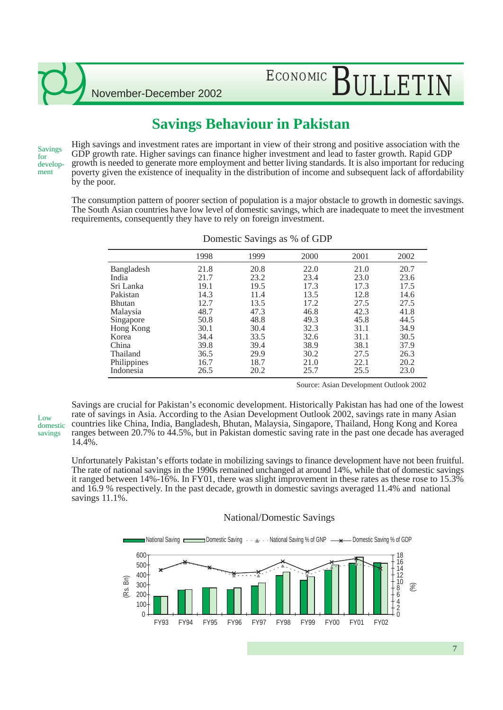# ECONOMIC BULLETIN

## **Savings Behaviour in Pakistan**

Savings for development

High savings and investment rates are important in view of their strong and positive association with the GDP growth rate. Higher savings can finance higher investment and lead to faster growth. Rapid GDP growth is needed to generate more employment and better living standards. It is also important for reducing poverty given the existence of inequality in the distribution of income and subsequent lack of affordability by the poor.

The consumption pattern of poorer section of population is a major obstacle to growth in domestic savings. The South Asian countries have low level of domestic savings, which are inadequate to meet the investment requirements, consequently they have to rely on foreign investment.

|               |      | $\circ$ |      |      |      |
|---------------|------|---------|------|------|------|
|               | 1998 | 1999    | 2000 | 2001 | 2002 |
| Bangladesh    | 21.8 | 20.8    | 22.0 | 21.0 | 20.7 |
| India         | 21.7 | 23.2    | 23.4 | 23.0 | 23.6 |
| Sri Lanka     | 19.1 | 19.5    | 17.3 | 17.3 | 17.5 |
| Pakistan      | 14.3 | 11.4    | 13.5 | 12.8 | 14.6 |
| <b>Bhutan</b> | 12.7 | 13.5    | 17.2 | 27.5 | 27.5 |
| Malaysia      | 48.7 | 47.3    | 46.8 | 42.3 | 41.8 |
| Singapore     | 50.8 | 48.8    | 49.3 | 45.8 | 44.5 |
| Hong Kong     | 30.1 | 30.4    | 32.3 | 31.1 | 34.9 |
| Korea         | 34.4 | 33.5    | 32.6 | 31.1 | 30.5 |
| China         | 39.8 | 39.4    | 38.9 | 38.1 | 37.9 |
| Thailand      | 36.5 | 29.9    | 30.2 | 27.5 | 26.3 |
| Philippines   | 16.7 | 18.7    | 21.0 | 22.1 | 20.2 |
| Indonesia     | 26.5 | 20.2    | 25.7 | 25.5 | 23.0 |

Domestic Savings as % of GDP

Source: Asian Development Outlook 2002

 $\mathbf{L}$   $\alpha$ domestic savings

Savings are crucial for Pakistan's economic development. Historically Pakistan has had one of the lowest rate of savings in Asia. According to the Asian Development Outlook 2002, savings rate in many Asian countries like China, India, Bangladesh, Bhutan, Malaysia, Singapore, Thailand, Hong Kong and Korea ranges between 20.7% to 44.5%, but in Pakistan domestic saving rate in the past one decade has averaged 14.4%.

Unfortunately Pakistan's efforts todate in mobilizing savings to finance development have not been fruitful. The rate of national savings in the 1990s remained unchanged at around 14%, while that of domestic savings it ranged between 14%-16%. In FY01, there was slight improvement in these rates as these rose to 15.3% and 16.9 % respectively. In the past decade, growth in domestic savings averaged 11.4% and national savings 11.1%.

### National/Domestic Savings

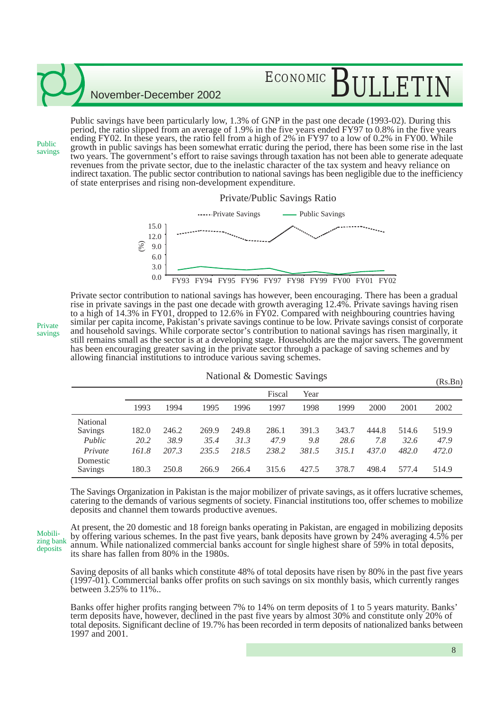# ECONOMIC BIILLET

November-December 2002

Public savings have been particularly low, 1.3% of GNP in the past one decade (1993-02). During this period, the ratio slipped from an average of 1.9% in the five years ended FY97 to 0.8% in the five years ending FY02. In these years, the ratio fell from a high of 2% in FY97 to a low of 0.2% in FY00. While growth in public savings has been somewhat erratic during the period, there has been some rise in the last two years. The government's effort to raise savings through taxation has not been able to generate adequate revenues from the private sector, due to the inelastic character of the tax system and heavy reliance on indirect taxation. The public sector contribution to national savings has been negligible due to the inefficiency of state enterprises and rising non-development expenditure.



Private sector contribution to national savings has however, been encouraging. There has been a gradual rise in private savings in the past one decade with growth averaging 12.4%. Private savings having risen to a high of 14.3% in FY01, dropped to 12.6% in FY02. Compared with neighbouring countries having similar per capita income, Pakistan's private savings continue to be low. Private savings consist of corporate and household savings. While corporate sector's contribution to national savings has risen marginally, it still remains small as the sector is at a developing stage. Households are the major savers. The government has been encouraging greater saving in the private sector through a package of saving schemes and by allowing financial institutions to introduce various saving schemes.

|                     | <b>National &amp; Domestic Savings</b> |       |       |       |        |       |       | (Rs.Bn) |       |       |
|---------------------|----------------------------------------|-------|-------|-------|--------|-------|-------|---------|-------|-------|
|                     |                                        |       |       |       | Fiscal | Year  |       |         |       |       |
|                     | 1993                                   | 1994  | 1995  | 1996  | 1997   | 1998  | 1999  | 2000    | 2001  | 2002  |
| National<br>Savings | 182.0                                  | 246.2 | 269.9 | 249.8 | 286.1  | 391.3 | 343.7 | 444.8   | 514.6 | 519.9 |
| Public              | 20.2                                   | 38.9  | 35.4  | 31.3  | 47.9   | 9.8   | 28.6  | 7.8     | 32.6  | 47.9  |
| Private             | 161.8                                  | 207.3 | 235.5 | 218.5 | 238.2  | 381.5 | 315.1 | 437.0   | 482.0 | 472.0 |
| Domestic<br>Savings | 180.3                                  | 250.8 | 266.9 | 266.4 | 315.6  | 427.5 | 378.7 | 498.4   | 577.4 | 514.9 |

The Savings Organization in Pakistan is the major mobilizer of private savings, as it offers lucrative schemes, catering to the demands of various segments of society. Financial institutions too, offer schemes to mobilize deposits and channel them towards productive avenues.

At present, the 20 domestic and 18 foreign banks operating in Pakistan, are engaged in mobilizing deposits by offering various schemes. In the past five years, bank deposits have grown by 24% averaging 4.5% per annum. While nationalized commercial banks account for single highest share of 59% in total deposits, its share has fallen from 80% in the 1980s. zing bank deposits

Saving deposits of all banks which constitute 48% of total deposits have risen by 80% in the past five years (1997-01). Commercial banks offer profits on such savings on six monthly basis, which currently ranges between 3.25% to 11%..

Banks offer higher profits ranging between 7% to 14% on term deposits of 1 to 5 years maturity. Banks' term deposits have, however, declined in the past five years by almost 30% and constitute only 20% of total deposits. Significant decline of 19.7% has been recorded in term deposits of nationalized banks between 1997 and 2001.

Private savings

Public savings

Mobili-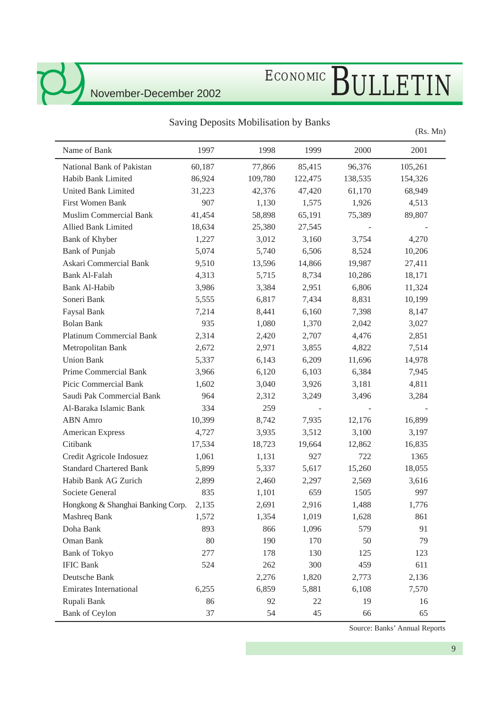l,

# ECONOMIC BULLETIN

## Saving Deposits Mobilisation by Banks

(Rs. Mn)

| Name of Bank                      | 1997   | 1998    | 1999    | 2000    | 2001    |
|-----------------------------------|--------|---------|---------|---------|---------|
| National Bank of Pakistan         | 60,187 | 77,866  | 85,415  | 96,376  | 105,261 |
| Habib Bank Limited                | 86,924 | 109,780 | 122,475 | 138,535 | 154,326 |
| <b>United Bank Limited</b>        | 31,223 | 42,376  | 47,420  | 61,170  | 68,949  |
| First Women Bank                  | 907    | 1,130   | 1,575   | 1,926   | 4,513   |
| <b>Muslim Commercial Bank</b>     | 41,454 | 58,898  | 65,191  | 75,389  | 89,807  |
| <b>Allied Bank Limited</b>        | 18,634 | 25,380  | 27,545  |         |         |
| Bank of Khyber                    | 1,227  | 3,012   | 3,160   | 3,754   | 4,270   |
| <b>Bank of Punjab</b>             | 5,074  | 5,740   | 6,506   | 8,524   | 10,206  |
| Askari Commercial Bank            | 9,510  | 13,596  | 14,866  | 19,987  | 27,411  |
| <b>Bank Al-Falah</b>              | 4,313  | 5,715   | 8,734   | 10,286  | 18,171  |
| Bank Al-Habib                     | 3,986  | 3,384   | 2,951   | 6,806   | 11,324  |
| Soneri Bank                       | 5,555  | 6,817   | 7,434   | 8,831   | 10,199  |
| Faysal Bank                       | 7,214  | 8,441   | 6,160   | 7,398   | 8,147   |
| <b>Bolan Bank</b>                 | 935    | 1,080   | 1,370   | 2,042   | 3,027   |
| <b>Platinum Commercial Bank</b>   | 2,314  | 2,420   | 2,707   | 4,476   | 2,851   |
| Metropolitan Bank                 | 2,672  | 2,971   | 3,855   | 4,822   | 7,514   |
| <b>Union Bank</b>                 | 5,337  | 6,143   | 6,209   | 11,696  | 14,978  |
| Prime Commercial Bank             | 3,966  | 6,120   | 6,103   | 6,384   | 7,945   |
| Picic Commercial Bank             | 1,602  | 3,040   | 3,926   | 3,181   | 4,811   |
| Saudi Pak Commercial Bank         | 964    | 2,312   | 3,249   | 3,496   | 3,284   |
| Al-Baraka Islamic Bank            | 334    | 259     |         |         |         |
| <b>ABN</b> Amro                   | 10,399 | 8,742   | 7,935   | 12,176  | 16,899  |
| American Express                  | 4,727  | 3,935   | 3,512   | 3,100   | 3,197   |
| Citibank                          | 17,534 | 18,723  | 19,664  | 12,862  | 16,835  |
| Credit Agricole Indosuez          | 1,061  | 1,131   | 927     | 722     | 1365    |
| <b>Standard Chartered Bank</b>    | 5,899  | 5,337   | 5,617   | 15,260  | 18,055  |
| Habib Bank AG Zurich              | 2,899  | 2,460   | 2,297   | 2,569   | 3,616   |
| Societe General                   | 835    | 1,101   | 659     | 1505    | 997     |
| Hongkong & Shanghai Banking Corp. | 2,135  | 2,691   | 2,916   | 1,488   | 1,776   |
| Mashreq Bank                      | 1,572  | 1,354   | 1,019   | 1,628   | 861     |
| Doha Bank                         | 893    | 866     | 1,096   | 579     | 91      |
| Oman Bank                         | 80     | 190     | 170     | 50      | 79      |
| <b>Bank of Tokyo</b>              | 277    | 178     | 130     | 125     | 123     |
| <b>IFIC Bank</b>                  | 524    | 262     | 300     | 459     | 611     |
| Deutsche Bank                     |        | 2,276   | 1,820   | 2,773   | 2,136   |
| <b>Emirates International</b>     | 6,255  | 6,859   | 5,881   | 6,108   | 7,570   |
| Rupali Bank                       | 86     | 92      | 22      | 19      | 16      |
| <b>Bank of Ceylon</b>             | 37     | 54      | 45      | 66      | 65      |

Source: Banks' Annual Reports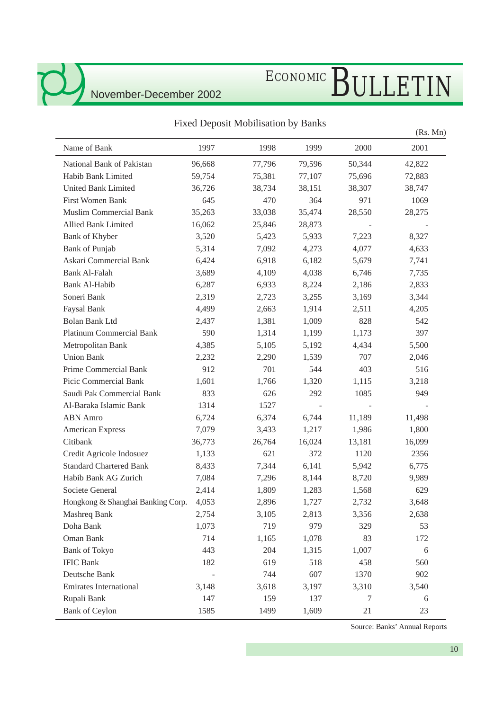# ECONOMIC BULLETIN

### National Bank of Pakistan 96,668 77,796 79,596 50,344 42,822 Habib Bank Limited 59,754 75,381 77,107 75,696 72,883 United Bank Limited 36,726 38,734 38,151 38,307 38,747 First Women Bank 645 645 470 364 971 1069 Muslim Commercial Bank 35,263 33,038 35,474 28,550 28,275 Allied Bank Limited 16,062 25,846 28,873 Bank of Khyber 3,520 5,423 5,933 7,223 8,327 Bank of Punjab 5,314 7,092 4,273 4,077 4,633 Askari Commercial Bank 6,424 6,918 6,182 5,679 7,741 Bank Al-Falah 3,689 4,109 4,038 6,746 7,735 Bank Al-Habib 6,287 6,933 8,224 2,186 2,833 Soneri Bank 2,319 2,723 3,255 3,169 3,344 Faysal Bank 4,499 2,663 1,914 2,511 4,205 Bolan Bank Ltd 2,437 1,381 1,009 828 542 Platinum Commercial Bank 590 1,314 1,199 1,173 397 Metropolitan Bank  $4,385$   $5,105$   $5,192$   $4,434$   $5,500$ Union Bank 2,232 2,290 1,539 707 2,046 Prime Commercial Bank 912 701 544 403 516 Picic Commercial Bank 1,601 1,766 1,320 1,115 3,218 Saudi Pak Commercial Bank 833 626 292 1085 949 Al-Baraka Islamic Bank 1314 1527 ABN Amro 6,724 6,374 6,744 11,189 11,498 American Express  $7,079$   $3,433$   $1,217$   $1,986$   $1,800$ Citibank 36,773 26,764 16,024 13,181 16,099 Credit Agricole Indosuez 1,133 621 372 1120 2356 Standard Chartered Bank 8,433 7,344 6,141 5,942 6,775 Habib Bank AG Zurich 7,084 7,296 8,144 8,720 9,989 Societe General 2,414 1,809 1,283 1,568 629 Hongkong & Shanghai Banking Corp. 4,053 2,896 1,727 2,732 3,648 Mashreq Bank 2,754 3,105 2,813 3,356 2,638 Doha Bank 1,073 719 979 329 53 Oman Bank 714 1,165 1,078 83 172 Bank of Tokyo 443 204 1,315 1,007 6 IFIC Bank 182 619 518 458 560 Deutsche Bank - 744 607 1370 902 Emirates International 3,148 3,618 3,197 3,310 3,540 Rupali Bank 147 159 137 7 6 Bank of Ceylon 1585 1499 1,609 21 23 (Rs. Mn) Name of Bank 1997 1998 1999 2000 2001

Fixed Deposit Mobilisation by Banks

Source: Banks' Annual Reports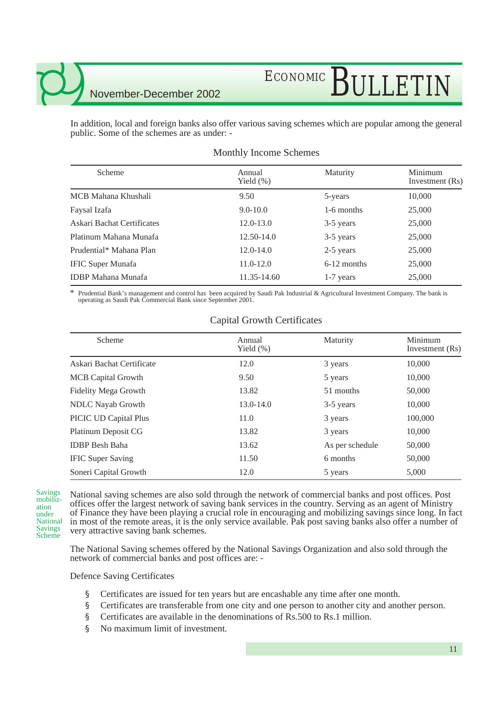# ECONOMIC BULLETIN

In addition, local and foreign banks also offer various saving schemes which are popular among the general public. Some of the schemes are as under: -

| Scheme                     | Annual<br>Yield $(\%)$ | Maturity      | Minimum<br>Investment (Rs) |
|----------------------------|------------------------|---------------|----------------------------|
| MCB Mahana Khushali        | 9.50                   | 5-years       | 10,000                     |
| Faysal Izafa               | $9.0 - 10.0$           | 1-6 months    | 25,000                     |
| Askari Bachat Certificates | $12.0 - 13.0$          | 3-5 years     | 25,000                     |
| Platinum Mahana Munafa     | $12.50 - 14.0$         | 3-5 years     | 25,000                     |
| Prudential* Mahana Plan    | $12.0 - 14.0$          | 2-5 years     | 25,000                     |
| <b>IFIC Super Munafa</b>   | $11.0 - 12.0$          | $6-12$ months | 25,000                     |
| <b>IDBP</b> Mahana Munafa  | 11.35-14.60            | $1-7$ years   | 25,000                     |

### Monthly Income Schemes

Prudential Bank's management and control has been acquired by Saudi Pak Industrial & Agricultural Investment Company. The bank is operating as Saudi Pak Commercial Bank since September 2001.

| Scheme                    | Annual<br>Yield $(\%)$ | Maturity        | Minimum<br>Investment (Rs) |
|---------------------------|------------------------|-----------------|----------------------------|
| Askari Bachat Certificate | 12.0                   | 3 years         | 10,000                     |
| <b>MCB</b> Capital Growth | 9.50                   | 5 years         | 10,000                     |
| Fidelity Mega Growth      | 13.82                  | 51 months       | 50,000                     |
| <b>NDLC</b> Nayab Growth  | 13.0-14.0              | 3-5 years       | 10,000                     |
| PICIC UD Capital Plus     | 11.0                   | 3 years         | 100,000                    |
| Platinum Deposit CG       | 13.82                  | 3 years         | 10,000                     |
| <b>IDBP</b> Besh Baha     | 13.62                  | As per schedule | 50,000                     |
| <b>IFIC Super Saving</b>  | 11.50                  | 6 months        | 50,000                     |
| Soneri Capital Growth     | 12.0                   | 5 years         | 5,000                      |

### Capital Growth Certificates

Savings mobilization under National Savings Scheme

National saving schemes are also sold through the network of commercial banks and post offices. Post offices offer the largest network of saving bank services in the country. Serving as an agent of Ministry of Finance they have been playing a crucial role in encouraging and mobilizing savings since long. In fact in most of the remote areas, it is the only service available. Pak post saving banks also offer a number of very attractive saving bank schemes.

The National Saving schemes offered by the National Savings Organization and also sold through the network of commercial banks and post offices are: -

Defence Saving Certificates

- § Certificates are issued for ten years but are encashable any time after one month.
- § Certificates are transferable from one city and one person to another city and another person.
- § Certificates are available in the denominations of Rs.500 to Rs.1 million.
- § No maximum limit of investment.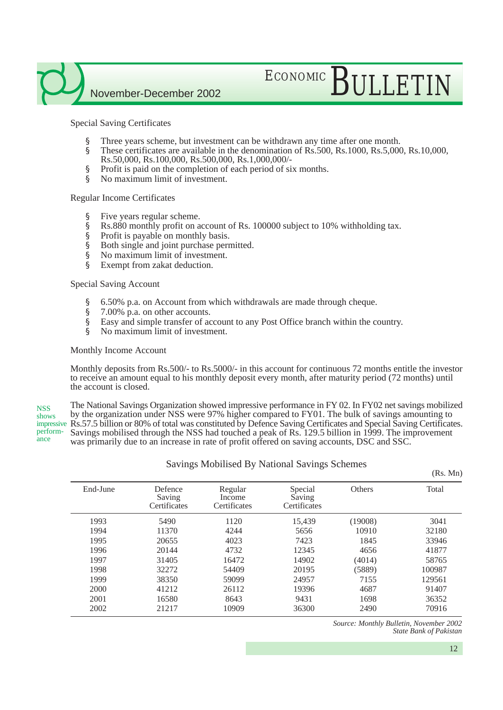# ECONOMIC BULLETIN

Special Saving Certificates

- § Three years scheme, but investment can be withdrawn any time after one month.
- § These certificates are available in the denomination of Rs.500, Rs.1000, Rs.5,000, Rs.10,000, Rs.50,000, Rs.100,000, Rs.500,000, Rs.1,000,000/-
- § Profit is paid on the completion of each period of six months.
- § No maximum limit of investment.

### Regular Income Certificates

- § Five years regular scheme.
- § Rs.880 monthly profit on account of Rs. 100000 subject to 10% withholding tax.
- § Profit is payable on monthly basis.
- § Both single and joint purchase permitted.
- § No maximum limit of investment.
- § Exempt from zakat deduction.

Special Saving Account

- § 6.50% p.a. on Account from which withdrawals are made through cheque.
- § 7.00% p.a. on other accounts.
- § Easy and simple transfer of account to any Post Office branch within the country.
- § No maximum limit of investment.

### Monthly Income Account

Monthly deposits from Rs.500/- to Rs.5000/- in this account for continuous 72 months entitle the investor to receive an amount equal to his monthly deposit every month, after maturity period (72 months) until the account is closed.

The National Savings Organization showed impressive performance in FY 02. In FY02 net savings mobilized by the organization under NSS were 97% higher compared to FY01. The bulk of savings amounting to impressive Rs.57.5 billion or 80% of total was constituted by Defence Saving Certificates and Special Saving Certificates. Savings mobilised through the NSS had touched a peak of Rs. 129.5 billion in 1999. The improvement was primarily due to an increase in rate of profit offered on saving accounts, DSC and SSC. **NSS** shows performance

| End-June | Defence<br>Saving<br>Certificates | Regular<br>Income<br>Certificates | Special<br>Saving<br>Certificates | <b>Others</b> | Total  |
|----------|-----------------------------------|-----------------------------------|-----------------------------------|---------------|--------|
| 1993     | 5490                              | 1120                              | 15,439                            | (19008)       | 3041   |
| 1994     | 11370                             | 4244                              | 5656                              | 10910         | 32180  |
| 1995     | 20655                             | 4023                              | 7423                              | 1845          | 33946  |
| 1996     | 20144                             | 4732                              | 12345                             | 4656          | 41877  |
| 1997     | 31405                             | 16472                             | 14902                             | (4014)        | 58765  |
| 1998     | 32272                             | 54409                             | 20195                             | (5889)        | 100987 |
| 1999     | 38350                             | 59099                             | 24957                             | 7155          | 129561 |
| 2000     | 41212                             | 26112                             | 19396                             | 4687          | 91407  |
| 2001     | 16580                             | 8643                              | 9431                              | 1698          | 36352  |
| 2002     | 21217                             | 10909                             | 36300                             | 2490          | 70916  |

Savings Mobilised By National Savings Schemes

*Source: Monthly Bulletin, November 2002 State Bank of Pakistan*

(Rs. Mn)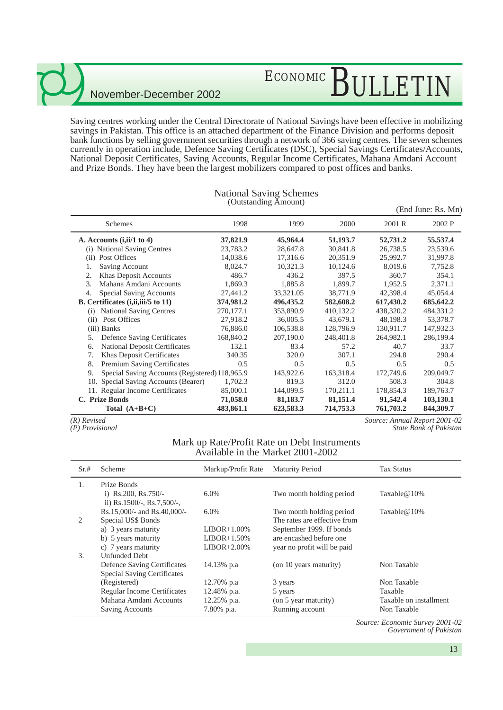# ECONOMIC BULLETIN

Saving centres working under the Central Directorate of National Savings have been effective in mobilizing savings in Pakistan. This office is an attached department of the Finance Division and performs deposit bank functions by selling government securities through a network of 366 saving centres. The seven schemes currently in operation include, Defence Saving Certificates (DSC), Special Savings Certificates/Accounts, National Deposit Certificates, Saving Accounts, Regular Income Certificates, Mahana Amdani Account and Prize Bonds. They have been the largest mobilizers compared to post offices and banks.

|                                                      |           | $\sim$ $\alpha$ <sup>1</sup> |           |           | (End June: Rs. Mn) |
|------------------------------------------------------|-----------|------------------------------|-----------|-----------|--------------------|
| Schemes                                              | 1998      | 1999                         | 2000      | 2001 R    | 2002 P             |
| A. Accounts $(i, ii/1 to 4)$                         | 37,821.9  | 45,964.4                     | 51,193.7  | 52,731.2  | 55,537.4           |
| (i) National Saving Centres                          | 23,783.2  | 28,647.8                     | 30,841.8  | 26,738.5  | 23,539.6           |
| Post Offices<br>(ii)                                 | 14,038.6  | 17,316.6                     | 20,351.9  | 25,992.7  | 31,997.8           |
| Saving Account<br>1.                                 | 8,024.7   | 10,321.3                     | 10,124.6  | 8,019.6   | 7,752.8            |
| Khas Deposit Accounts<br>2.                          | 486.7     | 436.2                        | 397.5     | 360.7     | 354.1              |
| 3.<br>Mahana Amdani Accounts                         | 1,869.3   | 1,885.8                      | 1,899.7   | 1,952.5   | 2,371.1            |
| Special Saving Accounts<br>4.                        | 27,441.2  | 33,321.05                    | 38,771.9  | 42,398.4  | 45,054.4           |
| B. Certificates ( <i>i,ii,iii</i> /5 to 11)          | 374,981.2 | 496, 435.2                   | 582,608.2 | 617,430.2 | 685, 642.2         |
| <b>National Saving Centres</b><br>(i)                | 270,177.1 | 353,890.9                    | 410,132.2 | 438,320.2 | 484,331.2          |
| Post Offices<br>(i)                                  | 27,918.2  | 36,005.5                     | 43,679.1  | 48,198.3  | 53,378.7           |
| (iii) Banks                                          | 76,886.0  | 106,538.8                    | 128,796.9 | 130,911.7 | 147,932.3          |
| Defence Saving Certificates<br>5.                    | 168,840.2 | 207,190.0                    | 248,401.8 | 264,982.1 | 286,199.4          |
| <b>National Deposit Certificates</b><br>6.           | 132.1     | 83.4                         | 57.2      | 40.7      | 33.7               |
| Khas Deposit Certificates<br>7.                      | 340.35    | 320.0                        | 307.1     | 294.8     | 290.4              |
| Premium Saving Certificates<br>8.                    | 0.5       | 0.5                          | 0.5       | 0.5       | 0.5                |
| 9.<br>Special Saving Accounts (Registered) 118,965.9 |           | 143,922.6                    | 163,318.4 | 172,749.6 | 209,049.7          |
| 10. Special Saving Accounts (Bearer)                 | 1,702.3   | 819.3                        | 312.0     | 508.3     | 304.8              |
| 11. Regular Income Certificates                      | 85,000.1  | 144,099.5                    | 170,211.1 | 178,854.3 | 189,763.7          |
| C. Prize Bonds                                       | 71,058.0  | 81,183.7                     | 81,151.4  | 91,542.4  | 103,130.1          |
| Total $(A+B+C)$                                      | 483,861.1 | 623,583.3                    | 714,753.3 | 761,703.2 | 844,309.7          |

### National Saving Schemes (Outstanding Amount)

*(R) Revised*

*(P) Provisional*

*Source: Annual Report 2001-02 State Bank of Pakistan*

### Mark up Rate/Profit Rate on Debt Instruments Available in the Market 2001-2002

| Sr.#          | Scheme                                                  | Markup/Profit Rate | <b>Maturity Period</b>       | <b>Tax Status</b>      |
|---------------|---------------------------------------------------------|--------------------|------------------------------|------------------------|
|               | Prize Bonds                                             |                    |                              |                        |
|               | i) Rs.200, Rs.750/-<br>ii) $Rs.1500/-$ , $Rs.7,500/-$ , | $6.0\%$            | Two month holding period     | Taxable $@10\%$        |
|               | Rs.15,000/- and Rs.40,000/-                             | $6.0\%$            | Two month holding period     | Taxable $@10\%$        |
| $\mathcal{L}$ | Special US\$ Bonds                                      |                    | The rates are effective from |                        |
|               | a) 3 years maturity                                     | $LIBOR+1.00\%$     | September 1999. If bonds     |                        |
|               | b) 5 years maturity                                     | $LIBOR+1.50\%$     | are encashed before one      |                        |
|               | c) 7 years maturity                                     | $LIBOR+2.00\%$     | year no profit will be paid  |                        |
| 3.            | <b>Unfunded Debt</b>                                    |                    |                              |                        |
|               | Defence Saving Certificates                             | 14.13% p.a         | (on 10 years maturity)       | Non Taxable            |
|               | <b>Special Saving Certificates</b>                      |                    |                              |                        |
|               | (Registered)                                            | 12.70% p.a         | 3 years                      | Non Taxable            |
|               | <b>Regular Income Certificates</b>                      | 12.48% p.a.        | 5 years                      | Taxable                |
|               | Mahana Amdani Accounts                                  | 12.25% p.a.        | (on 5 year maturity)         | Taxable on installment |
|               | Saving Accounts                                         | 7.80% p.a.         | Running account              | Non Taxable            |

*Source: Economic Survey 2001-02 Government of Pakistan*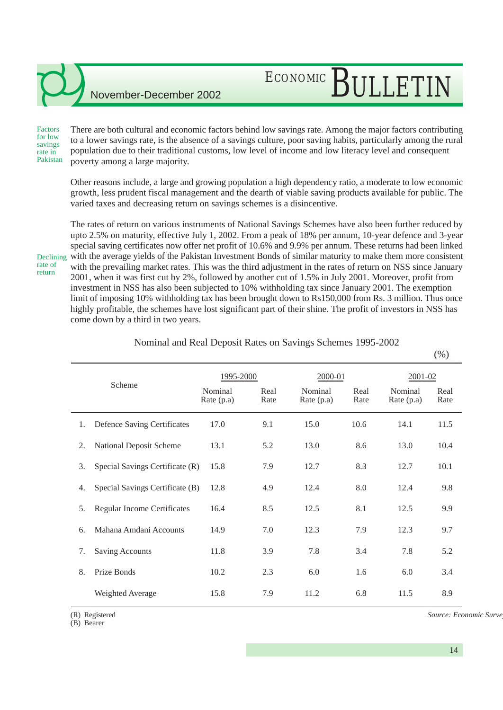### There are both cultural and economic factors behind low savings rate. Among the major factors contributing to a lower savings rate, is the absence of a savings culture, poor saving habits, particularly among the rural population due to their traditional customs, low level of income and low literacy level and consequent poverty among a large majority. Factors for low savings rate in Pakistan

ECONOMIC BULLETIN

Other reasons include, a large and growing population a high dependency ratio, a moderate to low economic growth, less prudent fiscal management and the dearth of viable saving products available for public. The varied taxes and decreasing return on savings schemes is a disincentive.

Declining rate of return

The rates of return on various instruments of National Savings Schemes have also been further reduced by upto 2.5% on maturity, effective July 1, 2002. From a peak of 18% per annum, 10-year defence and 3-year special saving certificates now offer net profit of 10.6% and 9.9% per annum. These returns had been linked with the average yields of the Pakistan Investment Bonds of similar maturity to make them more consistent with the prevailing market rates. This was the third adjustment in the rates of return on NSS since January 2001, when it was first cut by 2%, followed by another cut of 1.5% in July 2001. Moreover, profit from investment in NSS has also been subjected to 10% withholding tax since January 2001. The exemption limit of imposing 10% withholding tax has been brought down to Rs150,000 from Rs. 3 million. Thus once highly profitable, the schemes have lost significant part of their shine. The profit of investors in NSS has come down by a third in two years.

|        |                                          |                       |              |                       |              |                         | $\sqrt{2}$   |
|--------|------------------------------------------|-----------------------|--------------|-----------------------|--------------|-------------------------|--------------|
| Scheme |                                          | 1995-2000             |              | 2000-01               |              | 2001-02                 |              |
|        |                                          | Nominal<br>Rate (p.a) | Real<br>Rate | Nominal<br>Rate (p.a) | Real<br>Rate | Nominal<br>Rate $(p.a)$ | Real<br>Rate |
|        | 1.<br><b>Defence Saving Certificates</b> | 17.0                  | 9.1          | 15.0                  | 10.6         | 14.1                    | 11.5         |
|        | <b>National Deposit Scheme</b><br>2.     | 13.1                  | 5.2          | 13.0                  | 8.6          | 13.0                    | 10.4         |
|        | 3.<br>Special Savings Certificate (R)    | 15.8                  | 7.9          | 12.7                  | 8.3          | 12.7                    | 10.1         |
|        | Special Savings Certificate (B)<br>4.    | 12.8                  | 4.9          | 12.4                  | 8.0          | 12.4                    | 9.8          |
|        | Regular Income Certificates<br>5.        | 16.4                  | 8.5          | 12.5                  | 8.1          | 12.5                    | 9.9          |
|        | Mahana Amdani Accounts<br>6.             | 14.9                  | 7.0          | 12.3                  | 7.9          | 12.3                    | 9.7          |
|        | 7.<br><b>Saving Accounts</b>             | 11.8                  | 3.9          | 7.8                   | 3.4          | 7.8                     | 5.2          |
|        | 8.<br>Prize Bonds                        | 10.2                  | 2.3          | 6.0                   | 1.6          | 6.0                     | 3.4          |
|        | Weighted Average                         | 15.8                  | 7.9          | 11.2                  | 6.8          | 11.5                    | 8.9          |
|        |                                          |                       |              |                       |              |                         |              |

Nominal and Real Deposit Rates on Savings Schemes 1995-2002

(R) Registered

(B) Bearer

 $Source: Economic Survey$ 

 $(0/2)$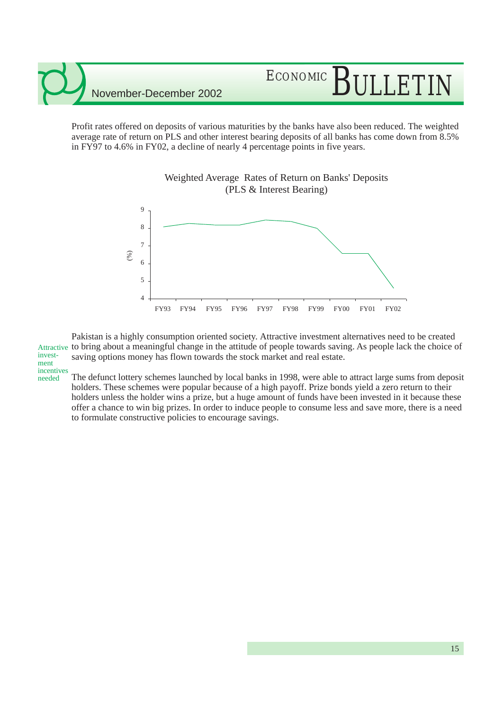needed

# ECONOMIC RILLETI

Profit rates offered on deposits of various maturities by the banks have also been reduced. The weighted average rate of return on PLS and other interest bearing deposits of all banks has come down from 8.5% in FY97 to 4.6% in FY02, a decline of nearly 4 percentage points in five years.

Weighted Average Rates of Return on Banks' Deposits



Pakistan is a highly consumption oriented society. Attractive investment alternatives need to be created Attractive to bring about a meaningful change in the attitude of people towards saving. As people lack the choice of saving options money has flown towards the stock market and real estate. investment incentives

The defunct lottery schemes launched by local banks in 1998, were able to attract large sums from deposit holders. These schemes were popular because of a high payoff. Prize bonds yield a zero return to their holders unless the holder wins a prize, but a huge amount of funds have been invested in it because these offer a chance to win big prizes. In order to induce people to consume less and save more, there is a need to formulate constructive policies to encourage savings.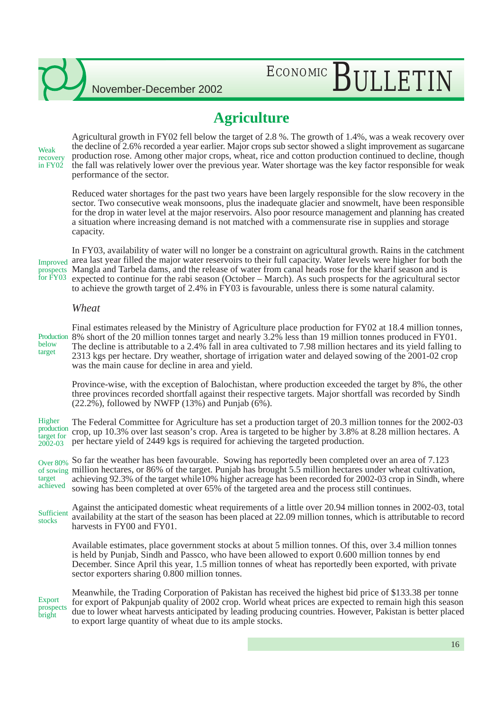# ECONOMIC BULLETIN

## **Agriculture**

Weak recovery in FY02

Agricultural growth in FY02 fell below the target of 2.8 %. The growth of 1.4%, was a weak recovery over the decline of 2.6% recorded a year earlier. Major crops sub sector showed a slight improvement as sugarcane production rose. Among other major crops, wheat, rice and cotton production continued to decline, though the fall was relatively lower over the previous year. Water shortage was the key factor responsible for weak performance of the sector.

Reduced water shortages for the past two years have been largely responsible for the slow recovery in the sector. Two consecutive weak monsoons, plus the inadequate glacier and snowmelt, have been responsible for the drop in water level at the major reservoirs. Also poor resource management and planning has created a situation where increasing demand is not matched with a commensurate rise in supplies and storage capacity.

Improved for FY03

In FY03, availability of water will no longer be a constraint on agricultural growth. Rains in the catchment area last year filled the major water reservoirs to their full capacity. Water levels were higher for both the Mangla and Tarbela dams, and the release of water from canal heads rose for the kharif season and is prospects expected to continue for the rabi season (October – March). As such prospects for the agricultural sector to achieve the growth target of 2.4% in FY03 is favourable, unless there is some natural calamity.

### *Wheat*

**Production** below target

Final estimates released by the Ministry of Agriculture place production for FY02 at 18.4 million tonnes, 8% short of the 20 million tonnes target and nearly 3.2% less than 19 million tonnes produced in FY01. The decline is attributable to a 2.4% fall in area cultivated to 7.98 million hectares and its yield falling to 2313 kgs per hectare. Dry weather, shortage of irrigation water and delayed sowing of the 2001-02 crop was the main cause for decline in area and yield.

Province-wise, with the exception of Balochistan, where production exceeded the target by 8%, the other three provinces recorded shortfall against their respective targets. Major shortfall was recorded by Sindh  $(22.2\%)$ , followed by NWFP  $(13\%)$  and Punjab  $(6\%)$ .

The Federal Committee for Agriculture has set a production target of 20.3 million tonnes for the 2002-03 crop, up 10.3% over last season's crop. Area is targeted to be higher by 3.8% at 8.28 million hectares. A per hectare yield of 2449 kgs is required for achieving the targeted production. Higher production target for 2002-03

So far the weather has been favourable. Sowing has reportedly been completed over an area of 7.123 of sowing million hectares, or 86% of the target. Punjab has brought 5.5 million hectares under wheat cultivation, achieving 92.3% of the target while10% higher acreage has been recorded for 2002-03 crop in Sindh, where sowing has been completed at over 65% of the targeted area and the process still continues. Over 80% target achieved

Against the anticipated domestic wheat requirements of a little over 20.94 million tonnes in 2002-03, total availability at the start of the season has been placed at 22.09 million tonnes, which is attributable to record harvests in FY00 and FY01. **Sufficient** stocks

Available estimates, place government stocks at about 5 million tonnes. Of this, over 3.4 million tonnes is held by Punjab, Sindh and Passco, who have been allowed to export 0.600 million tonnes by end December. Since April this year, 1.5 million tonnes of wheat has reportedly been exported, with private sector exporters sharing 0.800 million tonnes.

Export prospects bright

Meanwhile, the Trading Corporation of Pakistan has received the highest bid price of \$133.38 per tonne for export of Pakpunjab quality of 2002 crop. World wheat prices are expected to remain high this season due to lower wheat harvests anticipated by leading producing countries. However, Pakistan is better placed to export large quantity of wheat due to its ample stocks.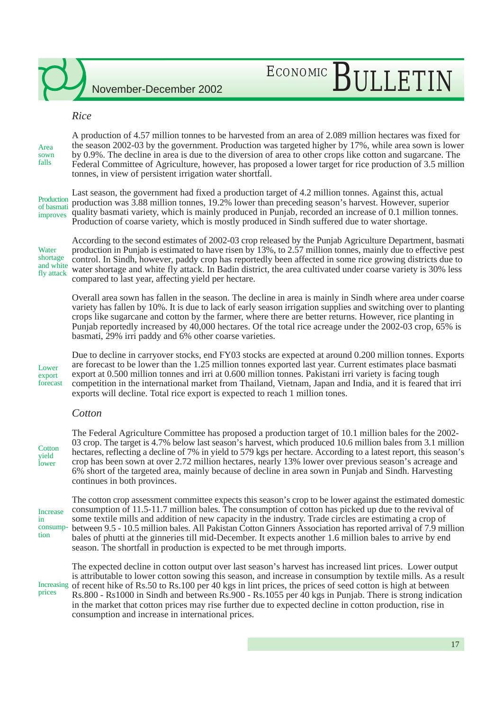# ECONOMIC BULLETIN

### *Rice*

A production of 4.57 million tonnes to be harvested from an area of 2.089 million hectares was fixed for the season 2002-03 by the government. Production was targeted higher by 17%, while area sown is lower by 0.9%. The decline in area is due to the diversion of area to other crops like cotton and sugarcane. The Federal Committee of Agriculture, however, has proposed a lower target for rice production of 3.5 million tonnes, in view of persistent irrigation water shortfall. Area sown falls

Production of basmati improves

Last season, the government had fixed a production target of 4.2 million tonnes. Against this, actual production was 3.88 million tonnes, 19.2% lower than preceding season's harvest. However, superior quality basmati variety, which is mainly produced in Punjab, recorded an increase of 0.1 million tonnes. Production of coarse variety, which is mostly produced in Sindh suffered due to water shortage.

**Water** shortage and white fly attack

According to the second estimates of 2002-03 crop released by the Punjab Agriculture Department, basmati production in Punjab is estimated to have risen by 13%, to 2.57 million tonnes, mainly due to effective pest control. In Sindh, however, paddy crop has reportedly been affected in some rice growing districts due to water shortage and white fly attack. In Badin district, the area cultivated under coarse variety is 30% less compared to last year, affecting yield per hectare.

Overall area sown has fallen in the season. The decline in area is mainly in Sindh where area under coarse variety has fallen by 10%. It is due to lack of early season irrigation supplies and switching over to planting crops like sugarcane and cotton by the farmer, where there are better returns. However, rice planting in Punjab reportedly increased by 40,000 hectares. Of the total rice acreage under the 2002-03 crop, 65% is basmati, 29% irri paddy and 6% other coarse varieties.

Lower export forecast

Due to decline in carryover stocks, end FY03 stocks are expected at around 0.200 million tonnes. Exports are forecast to be lower than the 1.25 million tonnes exported last year. Current estimates place basmati export at 0.500 million tonnes and irri at 0.600 million tonnes. Pakistani irri variety is facing tough competition in the international market from Thailand, Vietnam, Japan and India, and it is feared that irri exports will decline. Total rice export is expected to reach 1 million tones.

### *Cotton*

**Cotton** yield lower

The Federal Agriculture Committee has proposed a production target of 10.1 million bales for the 2002- 03 crop. The target is 4.7% below last season's harvest, which produced 10.6 million bales from 3.1 million hectares, reflecting a decline of 7% in yield to 579 kgs per hectare. According to a latest report, this season's crop has been sown at over 2.72 million hectares, nearly 13% lower over previous season's acreage and 6% short of the targeted area, mainly because of decline in area sown in Punjab and Sindh. Harvesting continues in both provinces.

Increase in consumption

The cotton crop assessment committee expects this season's crop to be lower against the estimated domestic consumption of 11.5-11.7 million bales. The consumption of cotton has picked up due to the revival of some textile mills and addition of new capacity in the industry. Trade circles are estimating a crop of between 9.5 - 10.5 million bales. All Pakistan Cotton Ginners Association has reported arrival of 7.9 million bales of phutti at the ginneries till mid-December. It expects another 1.6 million bales to arrive by end season. The shortfall in production is expected to be met through imports.

The expected decline in cotton output over last season's harvest has increased lint prices. Lower output is attributable to lower cotton sowing this season, and increase in consumption by textile mills. As a result of recent hike of Rs.50 to Rs.100 per 40 kgs in lint prices, the prices of seed cotton is high at between Rs.800 - Rs1000 in Sindh and between Rs.900 - Rs.1055 per 40 kgs in Punjab. There is strong indication in the market that cotton prices may rise further due to expected decline in cotton production, rise in consumption and increase in international prices. Increasing prices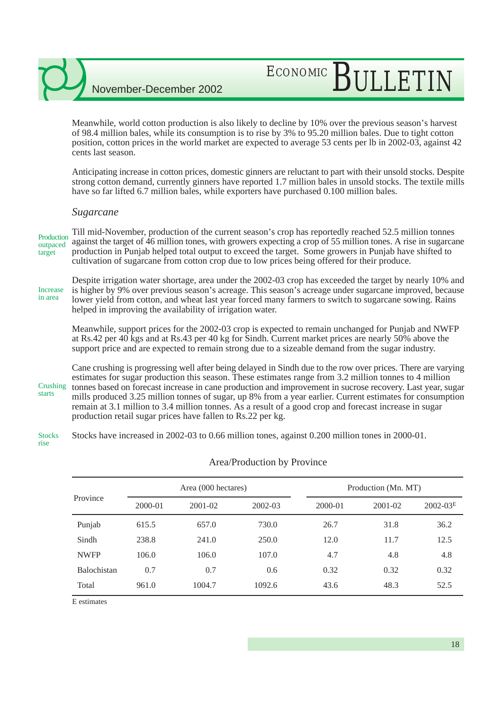# ECONOMIC BULLETIN

Meanwhile, world cotton production is also likely to decline by 10% over the previous season's harvest of 98.4 million bales, while its consumption is to rise by 3% to 95.20 million bales. Due to tight cotton position, cotton prices in the world market are expected to average 53 cents per lb in 2002-03, against 42 cents last season.

Anticipating increase in cotton prices, domestic ginners are reluctant to part with their unsold stocks. Despite strong cotton demand, currently ginners have reported 1.7 million bales in unsold stocks. The textile mills have so far lifted 6.7 million bales, while exporters have purchased 0.100 million bales.

### *Sugarcane*

Till mid-November, production of the current season's crop has reportedly reached 52.5 million tonnes against the target of 46 million tones, with growers expecting a crop of 55 million tones. A rise in sugarcane production in Punjab helped total output to exceed the target. Some growers in Punjab have shifted to cultivation of sugarcane from cotton crop due to low prices being offered for their produce. Production outpaced target

Despite irrigation water shortage, area under the 2002-03 crop has exceeded the target by nearly 10% and is higher by 9% over previous season's acreage. This season's acreage under sugarcane improved, because lower yield from cotton, and wheat last year forced many farmers to switch to sugarcane sowing. Rains helped in improving the availability of irrigation water. Increase in area

Meanwhile, support prices for the 2002-03 crop is expected to remain unchanged for Punjab and NWFP at Rs.42 per 40 kgs and at Rs.43 per 40 kg for Sindh. Current market prices are nearly 50% above the support price and are expected to remain strong due to a sizeable demand from the sugar industry.

Cane crushing is progressing well after being delayed in Sindh due to the row over prices. There are varying estimates for sugar production this season. These estimates range from 3.2 million tonnes to 4 million tonnes based on forecast increase in cane production and improvement in sucrose recovery. Last year, sugar mills produced 3.25 million tonnes of sugar, up 8% from a year earlier. Current estimates for consumption remain at 3.1 million to 3.4 million tonnes. As a result of a good crop and forecast increase in sugar production retail sugar prices have fallen to Rs.22 per kg. **Crushing** starts

Stocks have increased in 2002-03 to 0.66 million tones, against 0.200 million tones in 2000-01. Stocks

rise

### Area/Production by Province

|             |         | Area (000 hectares) |         |             | Production (Mn. MT) |              |  |
|-------------|---------|---------------------|---------|-------------|---------------------|--------------|--|
| Province    | 2000-01 | 2001-02             | 2002-03 | $2000 - 01$ | 2001-02             | $2002 - 03E$ |  |
| Punjab      | 615.5   | 657.0               | 730.0   | 26.7        | 31.8                | 36.2         |  |
| Sindh       | 238.8   | 241.0               | 250.0   | 12.0        | 11.7                | 12.5         |  |
| <b>NWFP</b> | 106.0   | 106.0               | 107.0   | 4.7         | 4.8                 | 4.8          |  |
| Balochistan | 0.7     | 0.7                 | 0.6     | 0.32        | 0.32                | 0.32         |  |
| Total       | 961.0   | 1004.7              | 1092.6  | 43.6        | 48.3                | 52.5         |  |

E estimates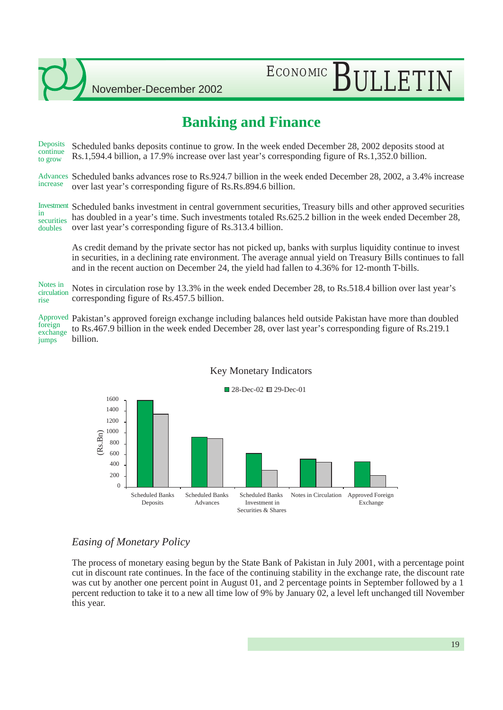# ECONOMIC BULLETIN

## **Banking and Finance**

Scheduled banks deposits continue to grow. In the week ended December 28, 2002 deposits stood at Rs.1,594.4 billion, a 17.9% increase over last year's corresponding figure of Rs.1,352.0 billion. **Deposits** continue to grow

Advances Scheduled banks advances rose to Rs.924.7 billion in the week ended December 28, 2002, a 3.4% increase over last year's corresponding figure of Rs.Rs.894.6 billion. increase

Investment Scheduled banks investment in central government securities, Treasury bills and other approved securities has doubled in a year's time. Such investments totaled Rs.625.2 billion in the week ended December 28, over last year's corresponding figure of Rs.313.4 billion. in securities doubles

As credit demand by the private sector has not picked up, banks with surplus liquidity continue to invest in securities, in a declining rate environment. The average annual yield on Treasury Bills continues to fall and in the recent auction on December 24, the yield had fallen to 4.36% for 12-month T-bills.

Notes in circulation rose by 13.3% in the week ended December 28, to Rs.518.4 billion over last year's corresponding figure of Rs.457.5 billion. Notes in circulation rise

Approved Pakistan's approved foreign exchange including balances held outside Pakistan have more than doubled to Rs.467.9 billion in the week ended December 28, over last year's corresponding figure of Rs.219.1 billion. foreign exchange jumps



### Key Monetary Indicators

### *Easing of Monetary Policy*

The process of monetary easing begun by the State Bank of Pakistan in July 2001, with a percentage point cut in discount rate continues. In the face of the continuing stability in the exchange rate, the discount rate was cut by another one percent point in August 01, and 2 percentage points in September followed by a 1 percent reduction to take it to a new all time low of 9% by January 02, a level left unchanged till November this year.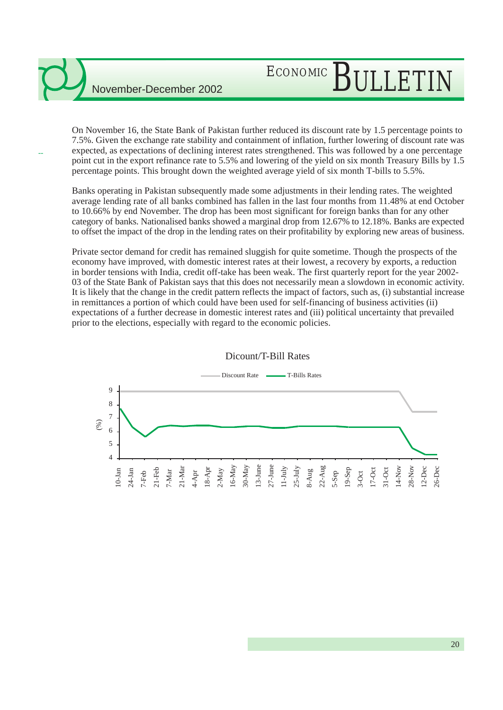--

# ECONOMIC BULLETIN

On November 16, the State Bank of Pakistan further reduced its discount rate by 1.5 percentage points to 7.5%. Given the exchange rate stability and containment of inflation, further lowering of discount rate was expected, as expectations of declining interest rates strengthened. This was followed by a one percentage point cut in the export refinance rate to 5.5% and lowering of the yield on six month Treasury Bills by 1.5 percentage points. This brought down the weighted average yield of six month T-bills to 5.5%.

Banks operating in Pakistan subsequently made some adjustments in their lending rates. The weighted average lending rate of all banks combined has fallen in the last four months from 11.48% at end October to 10.66% by end November. The drop has been most significant for foreign banks than for any other category of banks. Nationalised banks showed a marginal drop from 12.67% to 12.18%. Banks are expected to offset the impact of the drop in the lending rates on their profitability by exploring new areas of business.

Private sector demand for credit has remained sluggish for quite sometime. Though the prospects of the economy have improved, with domestic interest rates at their lowest, a recovery by exports, a reduction in border tensions with India, credit off-take has been weak. The first quarterly report for the year 2002- 03 of the State Bank of Pakistan says that this does not necessarily mean a slowdown in economic activity. It is likely that the change in the credit pattern reflects the impact of factors, such as, (i) substantial increase in remittances a portion of which could have been used for self-financing of business activities (ii) expectations of a further decrease in domestic interest rates and (iii) political uncertainty that prevailed prior to the elections, especially with regard to the economic policies.



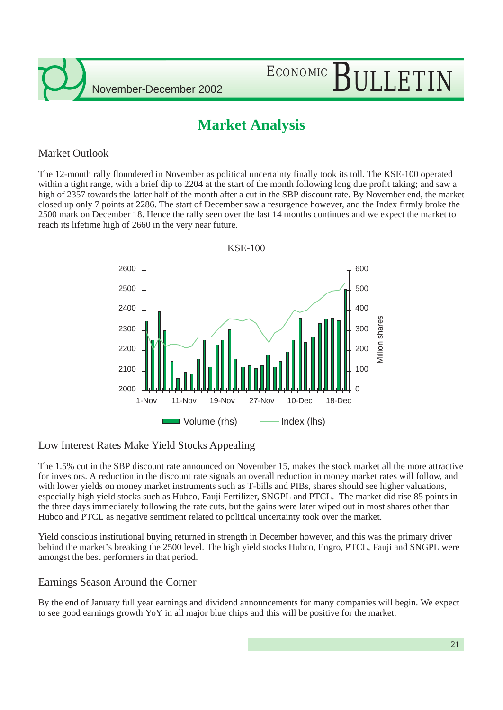

# ECONOMIC BULLETIN

## **Market Analysis**

## Market Outlook

The 12-month rally floundered in November as political uncertainty finally took its toll. The KSE-100 operated within a tight range, with a brief dip to 2204 at the start of the month following long due profit taking; and saw a high of 2357 towards the latter half of the month after a cut in the SBP discount rate. By November end, the market closed up only 7 points at 2286. The start of December saw a resurgence however, and the Index firmly broke the 2500 mark on December 18. Hence the rally seen over the last 14 months continues and we expect the market to reach its lifetime high of 2660 in the very near future.



### Low Interest Rates Make Yield Stocks Appealing

The 1.5% cut in the SBP discount rate announced on November 15, makes the stock market all the more attractive for investors. A reduction in the discount rate signals an overall reduction in money market rates will follow, and with lower yields on money market instruments such as T-bills and PIBs, shares should see higher valuations, especially high yield stocks such as Hubco, Fauji Fertilizer, SNGPL and PTCL. The market did rise 85 points in the three days immediately following the rate cuts, but the gains were later wiped out in most shares other than Hubco and PTCL as negative sentiment related to political uncertainty took over the market.

Yield conscious institutional buying returned in strength in December however, and this was the primary driver behind the market's breaking the 2500 level. The high yield stocks Hubco, Engro, PTCL, Fauji and SNGPL were amongst the best performers in that period.

### Earnings Season Around the Corner

By the end of January full year earnings and dividend announcements for many companies will begin. We expect to see good earnings growth YoY in all major blue chips and this will be positive for the market.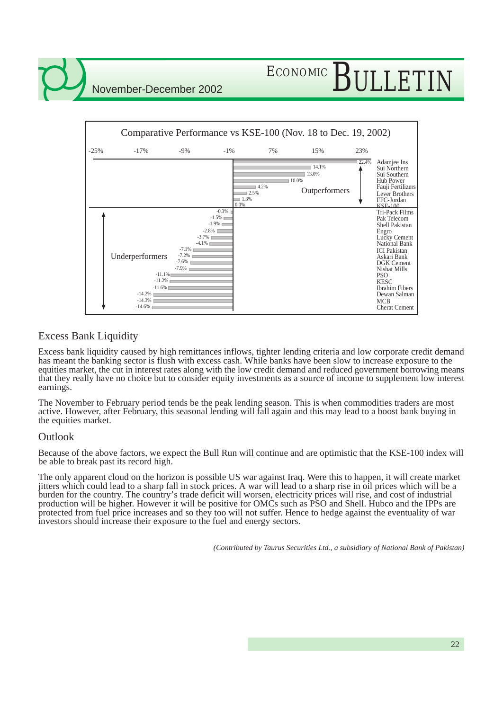# ECONOMIC BULLETIN



### Excess Bank Liquidity

Excess bank liquidity caused by high remittances inflows, tighter lending criteria and low corporate credit demand has meant the banking sector is flush with excess cash. While banks have been slow to increase exposure to the equities market, the cut in interest rates along with the low credit demand and reduced government borrowing means that they really have no choice but to consider equity investments as a source of income to supplement low interest earnings.

The November to February period tends be the peak lending season. This is when commodities traders are most active. However, after February, this seasonal lending will fall again and this may lead to a boost bank buying in the equities market.

### **Outlook**

Because of the above factors, we expect the Bull Run will continue and are optimistic that the KSE-100 index will be able to break past its record high.

The only apparent cloud on the horizon is possible US war against Iraq. Were this to happen, it will create market jitters which could lead to a sharp fall in stock prices. A war will lead to a sharp rise in oil prices which will be a burden for the country. The country's trade deficit will worsen, electricity prices will rise, and cost of industrial production will be higher. However it will be positive for OMCs such as PSO and Shell. Hubco and the IPPs are protected from fuel price increases and so they too will not suffer. Hence to hedge against the eventuality of war investors should increase their exposure to the fuel and energy sectors.

*(Contributed by Taurus Securities Ltd., a subsidiary of National Bank of Pakistan)*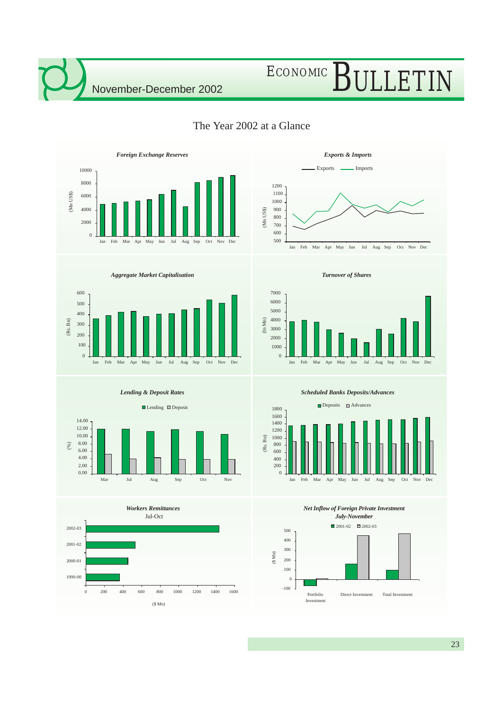# ECONOMIC BULLETIN



## The Year 2002 at a Glance











*Turnover of Shares*



*Scheduled Banks Deposits/Advances*



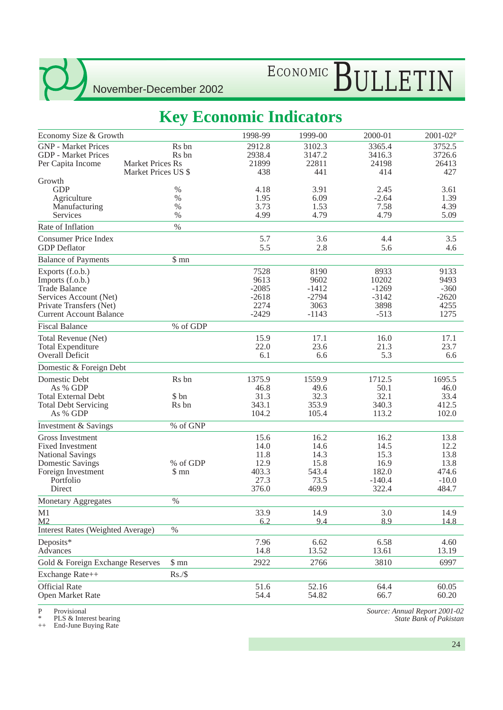# ECONOMIC BULLETIN

## **Key Economic Indicators**

| Economy Size & Growth                    |                         | 1998-99 | 1999-00 | 2000-01  | 2001-02P |
|------------------------------------------|-------------------------|---------|---------|----------|----------|
| <b>GNP</b> - Market Prices               | R <sub>s</sub> bn       | 2912.8  | 3102.3  | 3365.4   | 3752.5   |
| <b>GDP</b> - Market Prices               | R <sub>s</sub> bn       | 2938.4  | 3147.2  | 3416.3   | 3726.6   |
| Per Capita Income                        | <b>Market Prices Rs</b> | 21899   | 22811   | 24198    | 26413    |
|                                          | Market Prices US \$     | 438     | 441     | 414      | 427      |
| Growth                                   |                         |         |         |          |          |
| <b>GDP</b>                               | %                       | 4.18    | 3.91    | 2.45     | 3.61     |
| Agriculture                              | $\%$                    | 1.95    | 6.09    | $-2.64$  | 1.39     |
| Manufacturing                            | $\%$                    | 3.73    | 1.53    | 7.58     | 4.39     |
| Services                                 | $\%$                    | 4.99    | 4.79    | 4.79     | 5.09     |
| Rate of Inflation                        | $\%$                    |         |         |          |          |
| <b>Consumer Price Index</b>              |                         | 5.7     | 3.6     | 4.4      | 3.5      |
| <b>GDP</b> Deflator                      |                         | 5.5     | 2.8     | 5.6      | 4.6      |
| <b>Balance of Payments</b>               | \$mn                    |         |         |          |          |
| Exports (f.o.b.)                         |                         | 7528    | 8190    | 8933     | 9133     |
| Imports (f.o.b.)                         |                         | 9613    | 9602    | 10202    | 9493     |
| <b>Trade Balance</b>                     |                         | $-2085$ | $-1412$ | $-1269$  | $-360$   |
| Services Account (Net)                   |                         | $-2618$ | $-2794$ | $-3142$  | $-2620$  |
| Private Transfers (Net)                  |                         | 2274    | 3063    | 3898     | 4255     |
| <b>Current Account Balance</b>           |                         | $-2429$ | $-1143$ | $-513$   | 1275     |
| <b>Fiscal Balance</b>                    | % of GDP                |         |         |          |          |
| Total Revenue (Net)                      |                         | 15.9    | 17.1    | 16.0     | 17.1     |
| <b>Total Expenditure</b>                 |                         | 22.0    | 23.6    | 21.3     | 23.7     |
| Overall Deficit                          |                         | 6.1     | 6.6     | 5.3      | 6.6      |
| Domestic & Foreign Debt                  |                         |         |         |          |          |
| Domestic Debt                            | Rs bn                   | 1375.9  | 1559.9  | 1712.5   | 1695.5   |
| As % GDP                                 |                         | 46.8    | 49.6    | 50.1     | 46.0     |
| <b>Total External Debt</b>               | \$ bn                   | 31.3    | 32.3    | 32.1     | 33.4     |
| <b>Total Debt Servicing</b>              | Rs bn                   | 343.1   | 353.9   | 340.3    | 412.5    |
| As % GDP                                 |                         | 104.2   | 105.4   | 113.2    | 102.0    |
| Investment & Savings                     | % of GNP                |         |         |          |          |
| Gross Investment                         |                         | 15.6    | 16.2    | 16.2     | 13.8     |
| <b>Fixed Investment</b>                  |                         | 14.0    | 14.6    | 14.5     | 12.2     |
| <b>National Savings</b>                  |                         | 11.8    | 14.3    | 15.3     | 13.8     |
| <b>Domestic Savings</b>                  | % of GDP                | 12.9    | 15.8    | 16.9     | 13.8     |
| Foreign Investment                       | \$mn                    | 403.3   | 543.4   | 182.0    | 474.6    |
| Portfolio                                |                         | 27.3    | 73.5    | $-140.4$ | $-10.0$  |
| Direct                                   |                         | 376.0   | 469.9   | 322.4    | 484.7    |
| <b>Monetary Aggregates</b>               | $\%$                    |         |         |          |          |
| M1                                       |                         | 33.9    | 14.9    | 3.0      | 14.9     |
| M <sub>2</sub>                           |                         | 6.2     | 9.4     | 8.9      | 14.8     |
| <b>Interest Rates (Weighted Average)</b> | $\%$                    |         |         |          |          |
| Deposits*                                |                         | 7.96    | 6.62    | 6.58     | 4.60     |
| Advances                                 |                         | 14.8    | 13.52   | 13.61    | 13.19    |
| Gold & Foreign Exchange Reserves         | $\$$ mn                 | 2922    | 2766    | 3810     | 6997     |
| Exchange Rate++                          | Rs./\$                  |         |         |          |          |
| <b>Official Rate</b>                     |                         | 51.6    | 52.16   | 64.4     | 60.05    |
| Open Market Rate                         |                         | 54.4    | 54.82   | 66.7     | 60.20    |
|                                          |                         |         |         |          |          |

P Provisional

\* PLS & Interest bearing ++ End-June Buying Rate

*Source: Annual Report 2001-02 State Bank of Pakistan*